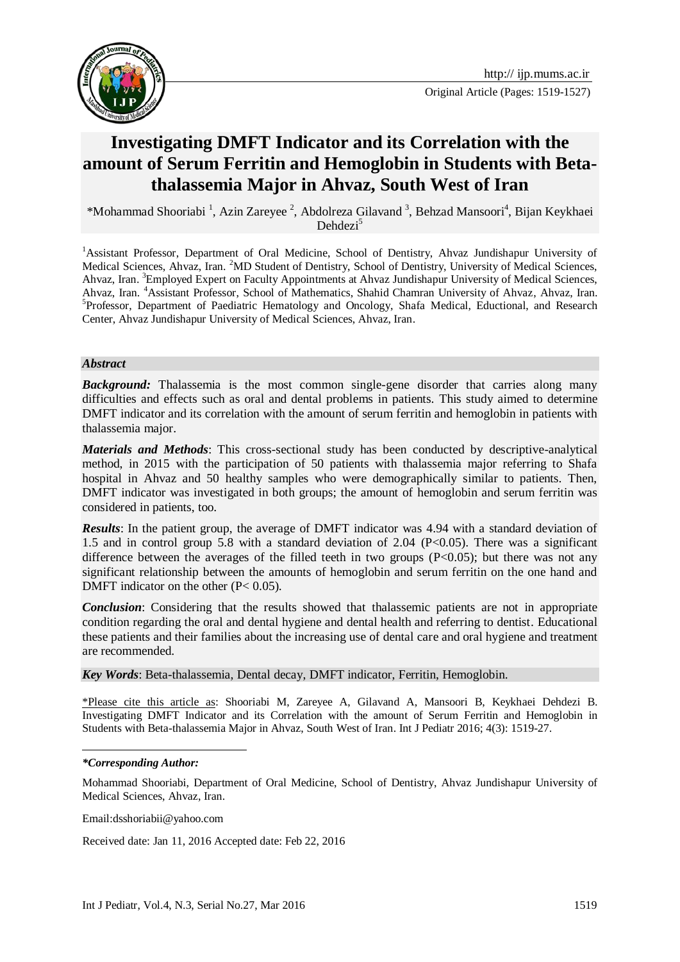

Original Article (Pages: 1519-1527)

# **Investigating DMFT Indicator and its Correlation with the amount of Serum Ferritin and Hemoglobin in Students with Betathalassemia Major in Ahvaz, South West of Iran**

\*Mohammad Shooriabi<sup>1</sup>, Azin Zareyee<sup>2</sup>, Abdolreza Gilavand<sup>3</sup>, Behzad Mansoori<sup>4</sup>, Bijan Keykhaei Dehdezi<sup>5</sup>

<sup>1</sup>Assistant Professor, Department of Oral Medicine, School of Dentistry, Ahvaz Jundishapur University of Medical Sciences, Ahvaz, Iran. <sup>2</sup>MD Student of Dentistry, School of Dentistry, University of Medical Sciences, Ahvaz, Iran. <sup>3</sup>Employed Expert on Faculty Appointments at Ahvaz Jundishapur University of Medical Sciences, Ahvaz, Iran. <sup>4</sup>Assistant Professor, School of Mathematics, Shahid Chamran University of Ahvaz, Ahvaz, Iran. <sup>5</sup>Professor, Department of Paediatric Hematology and Oncology, Shafa Medical, Eductional, and Research Center, Ahvaz Jundishapur University of Medical Sciences, Ahvaz, Iran.

#### *Abstract*

*Background:* Thalassemia is the most common single-gene disorder that carries along many difficulties and effects such as oral and dental problems in patients. This study aimed to determine DMFT indicator and its correlation with the amount of serum ferritin and hemoglobin in patients with thalassemia major.

*Materials and Methods*: This cross-sectional study has been conducted by descriptive-analytical method, in 2015 with the participation of 50 patients with thalassemia major referring to Shafa hospital in Ahvaz and 50 healthy samples who were demographically similar to patients. Then, DMFT indicator was investigated in both groups; the amount of hemoglobin and serum ferritin was considered in patients, too.

*Results*: In the patient group, the average of DMFT indicator was 4.94 with a standard deviation of 1.5 and in control group 5.8 with a standard deviation of 2.04 ( $P<0.05$ ). There was a significant difference between the averages of the filled teeth in two groups  $(P<0.05)$ ; but there was not any significant relationship between the amounts of hemoglobin and serum ferritin on the one hand and DMFT indicator on the other  $(P< 0.05)$ .

*Conclusion*: Considering that the results showed that thalassemic patients are not in appropriate condition regarding the oral and dental hygiene and dental health and referring to dentist. Educational these patients and their families about the increasing use of dental care and oral hygiene and treatment are recommended.

*Key Words*: Beta-thalassemia, Dental decay, DMFT indicator, Ferritin, Hemoglobin.

\*Please cite this article as: Shooriabi M, Zareyee A, Gilavand A, Mansoori B, Keykhaei Dehdezi B. Investigating DMFT Indicator and its Correlation with the amount of Serum Ferritin and Hemoglobin in Students with Beta-thalassemia Major in Ahvaz, South West of Iran. Int J Pediatr 2016; 4(3): 1519-27.

#### *\*Corresponding Author:*

1

Email:dsshoriabii@yahoo.com

Received date: Jan 11, 2016 Accepted date: Feb 22, 2016

Mohammad Shooriabi, Department of Oral Medicine, School of Dentistry, Ahvaz Jundishapur University of Medical Sciences, Ahvaz, Iran.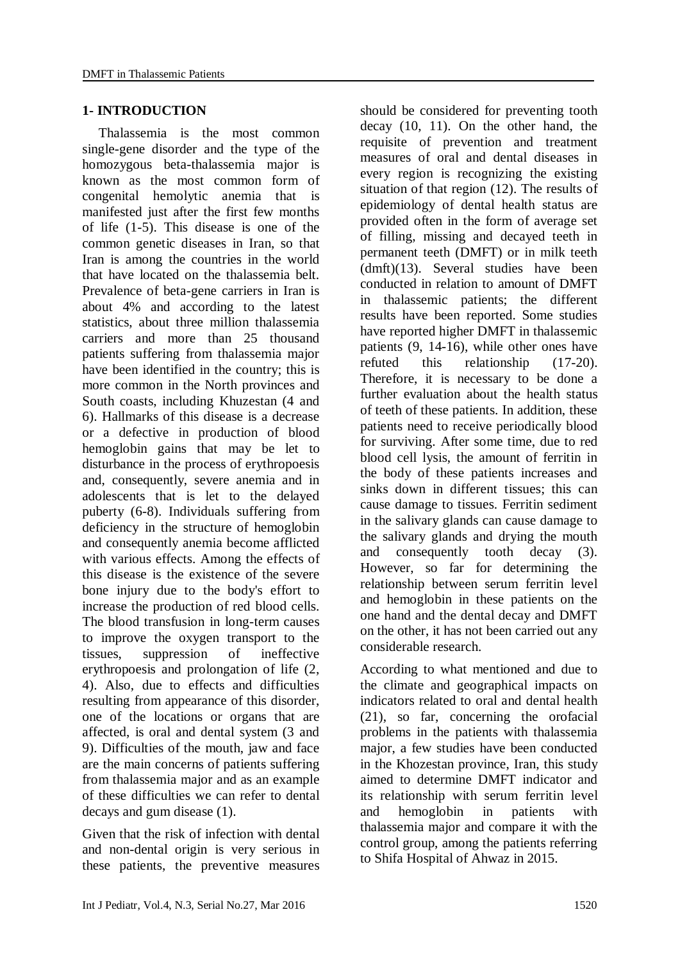### **1- INTRODUCTION**

Thalassemia is the most common single-gene disorder and the type of the homozygous beta-thalassemia major is known as the most common form of congenital hemolytic anemia that is manifested just after the first few months of life (1-5). This disease is one of the common genetic diseases in Iran, so that Iran is among the countries in the world that have located on the thalassemia belt. Prevalence of beta-gene carriers in Iran is about 4% and according to the latest statistics, about three million thalassemia carriers and more than 25 thousand patients suffering from thalassemia major have been identified in the country; this is more common in the North provinces and South coasts, including Khuzestan (4 and 6). Hallmarks of this disease is a decrease or a defective in production of blood hemoglobin gains that may be let to disturbance in the process of erythropoesis and, consequently, severe anemia and in adolescents that is let to the delayed puberty (6-8). Individuals suffering from deficiency in the structure of hemoglobin and consequently anemia become afflicted with various effects. Among the effects of this disease is the existence of the severe bone injury due to the body's effort to increase the production of red blood cells. The blood transfusion in long-term causes to improve the oxygen transport to the tissues, suppression of ineffective erythropoesis and prolongation of life (2, 4). Also, due to effects and difficulties resulting from appearance of this disorder, one of the locations or organs that are affected, is oral and dental system (3 and 9). Difficulties of the mouth, jaw and face are the main concerns of patients suffering from thalassemia major and as an example of these difficulties we can refer to dental decays and gum disease (1).

Given that the risk of infection with dental and non-dental origin is very serious in these patients, the preventive measures

should be considered for preventing tooth decay (10, 11). On the other hand, the requisite of prevention and treatment measures of oral and dental diseases in every region is recognizing the existing situation of that region (12). The results of epidemiology of dental health status are provided often in the form of average set of filling, missing and decayed teeth in permanent teeth (DMFT) or in milk teeth (dmft)(13). Several studies have been conducted in relation to amount of DMFT in thalassemic patients; the different results have been reported. Some studies have reported higher DMFT in thalassemic patients (9, 14-16), while other ones have refuted this relationship (17-20). Therefore, it is necessary to be done a further evaluation about the health status of teeth of these patients. In addition, these patients need to receive periodically blood for surviving. After some time, due to red blood cell lysis, the amount of ferritin in the body of these patients increases and sinks down in different tissues; this can cause damage to tissues. Ferritin sediment in the salivary glands can cause damage to the salivary glands and drying the mouth and consequently tooth decay (3). However, so far for determining the relationship between serum ferritin level and hemoglobin in these patients on the one hand and the dental decay and DMFT on the other, it has not been carried out any considerable research.

According to what mentioned and due to the climate and geographical impacts on indicators related to oral and dental health (21), so far, concerning the orofacial problems in the patients with thalassemia major, a few studies have been conducted in the Khozestan province, Iran, this study aimed to determine DMFT indicator and its relationship with serum ferritin level and hemoglobin in patients with thalassemia major and compare it with the control group, among the patients referring to Shifa Hospital of Ahwaz in 2015.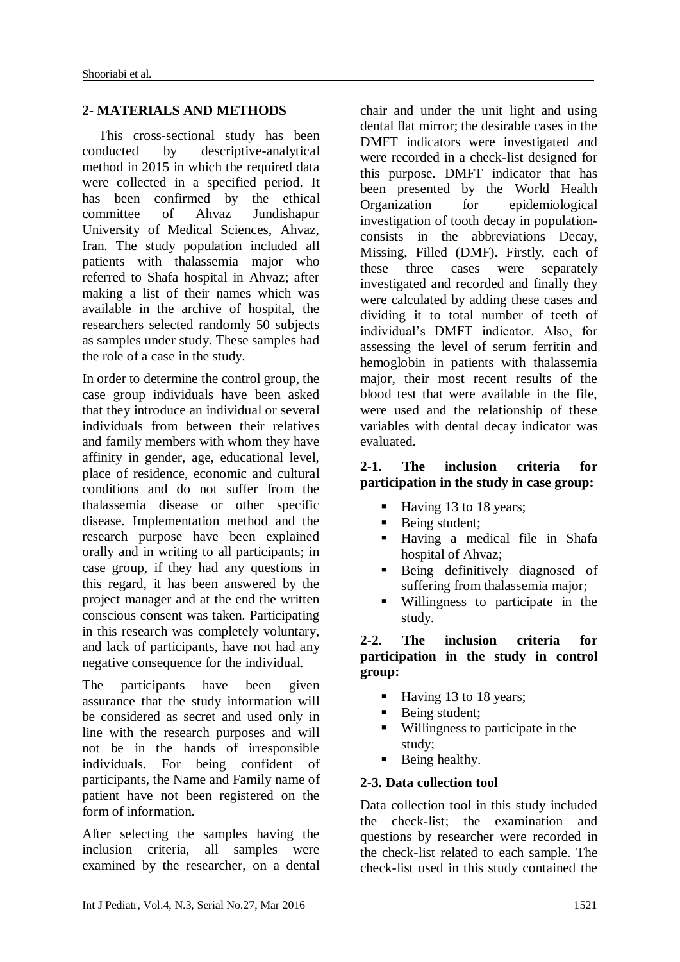# **2- MATERIALS AND METHODS**

This cross-sectional study has been conducted by descriptive-analytical method in 2015 in which the required data were collected in a specified period. It has been confirmed by the ethical committee of Ahvaz Jundishapur University of Medical Sciences, Ahvaz, Iran. The study population included all patients with thalassemia major who referred to Shafa hospital in Ahvaz; after making a list of their names which was available in the archive of hospital, the researchers selected randomly 50 subjects as samples under study. These samples had the role of a case in the study.

In order to determine the control group, the case group individuals have been asked that they introduce an individual or several individuals from between their relatives and family members with whom they have affinity in gender, age, educational level, place of residence, economic and cultural conditions and do not suffer from the thalassemia disease or other specific disease. Implementation method and the research purpose have been explained orally and in writing to all participants; in case group, if they had any questions in this regard, it has been answered by the project manager and at the end the written conscious consent was taken. Participating in this research was completely voluntary, and lack of participants, have not had any negative consequence for the individual.

The participants have been given assurance that the study information will be considered as secret and used only in line with the research purposes and will not be in the hands of irresponsible individuals. For being confident of participants, the Name and Family name of patient have not been registered on the form of information.

After selecting the samples having the inclusion criteria, all samples were examined by the researcher, on a dental

chair and under the unit light and using dental flat mirror; the desirable cases in the DMFT indicators were investigated and were recorded in a check-list designed for this purpose. DMFT indicator that has been presented by the World Health Organization for epidemiological investigation of tooth decay in populationconsists in the abbreviations Decay, Missing, Filled (DMF). Firstly, each of these three cases were separately investigated and recorded and finally they were calculated by adding these cases and dividing it to total number of teeth of individual's DMFT indicator. Also, for assessing the level of serum ferritin and hemoglobin in patients with thalassemia major, their most recent results of the blood test that were available in the file, were used and the relationship of these variables with dental decay indicator was evaluated.

### **2-1. The inclusion criteria for participation in the study in case group:**

- Having 13 to 18 years;
- Being student;
- Having a medical file in Shafa hospital of Ahvaz;
- Being definitively diagnosed of suffering from thalassemia major;
- Willingness to participate in the study.

# **2-2. The inclusion criteria for participation in the study in control group:**

- Having 13 to 18 years;
- Being student;
- Willingness to participate in the study;
- **Being healthy.**

# **2-3. Data collection tool**

Data collection tool in this study included the check-list; the examination and questions by researcher were recorded in the check-list related to each sample. The check-list used in this study contained the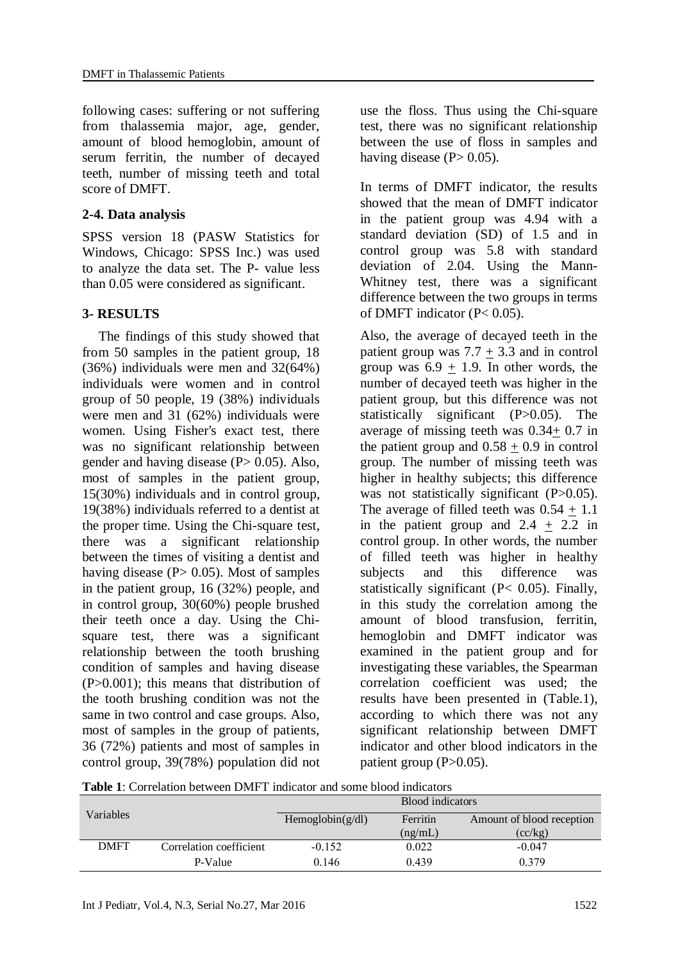following cases: suffering or not suffering from thalassemia major, age, gender, amount of blood hemoglobin, amount of serum ferritin, the number of decayed teeth, number of missing teeth and total score of DMFT.

# **2-4. Data analysis**

SPSS version 18 (PASW Statistics for Windows, Chicago: SPSS Inc.) was used to analyze the data set. The P- value less than 0.05 were considered as significant.

# **3- RESULTS**

The findings of this study showed that from 50 samples in the patient group, 18 (36%) individuals were men and 32(64%) individuals were women and in control group of 50 people, 19 (38%) individuals were men and 31 (62%) individuals were women. Using Fisher's exact test, there was no significant relationship between gender and having disease  $(P> 0.05)$ . Also, most of samples in the patient group, 15(30%) individuals and in control group, 19(38%) individuals referred to a dentist at the proper time. Using the Chi-square test, there was a significant relationship between the times of visiting a dentist and having disease  $(P> 0.05)$ . Most of samples in the patient group, 16 (32%) people, and in control group, 30(60%) people brushed their teeth once a day. Using the Chisquare test, there was a significant relationship between the tooth brushing condition of samples and having disease (P>0.001); this means that distribution of the tooth brushing condition was not the same in two control and case groups. Also, most of samples in the group of patients, 36 (72%) patients and most of samples in control group, 39(78%) population did not use the floss. Thus using the Chi-square test, there was no significant relationship between the use of floss in samples and having disease  $(P> 0.05)$ .

In terms of DMFT indicator, the results showed that the mean of DMFT indicator in the patient group was 4.94 with a standard deviation (SD) of 1.5 and in control group was 5.8 with standard deviation of 2.04. Using the Mann-Whitney test, there was a significant difference between the two groups in terms of DMFT indicator (P< 0.05).

Also, the average of decayed teeth in the patient group was  $7.7 + 3.3$  and in control group was  $6.9 \pm 1.9$ . In other words, the number of decayed teeth was higher in the patient group, but this difference was not statistically significant (P>0.05). The average of missing teeth was 0.34+ 0.7 in the patient group and  $0.58 + 0.9$  in control group. The number of missing teeth was higher in healthy subjects; this difference was not statistically significant (P>0.05). The average of filled teeth was  $0.54 + 1.1$ in the patient group and  $2.4 + 2.2$  in control group. In other words, the number of filled teeth was higher in healthy subjects and this difference was statistically significant (P< 0.05). Finally, in this study the correlation among the amount of blood transfusion, ferritin, hemoglobin and DMFT indicator was examined in the patient group and for investigating these variables, the Spearman correlation coefficient was used; the results have been presented in (Table.1), according to which there was not any significant relationship between DMFT indicator and other blood indicators in the patient group  $(P>0.05)$ .

**Table 1**: Correlation between DMFT indicator and some blood indicators

| Variables   |                         | Blood indicators    |          |                           |
|-------------|-------------------------|---------------------|----------|---------------------------|
|             |                         | Hemoglobin $(g/dl)$ | Ferritin | Amount of blood reception |
|             |                         |                     | (ng/mL)  | (cc/kg)                   |
| <b>DMFT</b> | Correlation coefficient | $-0.152$            | 0.022    | $-0.047$                  |
|             | P-Value                 | 0.146               | 0.439    | 0.379                     |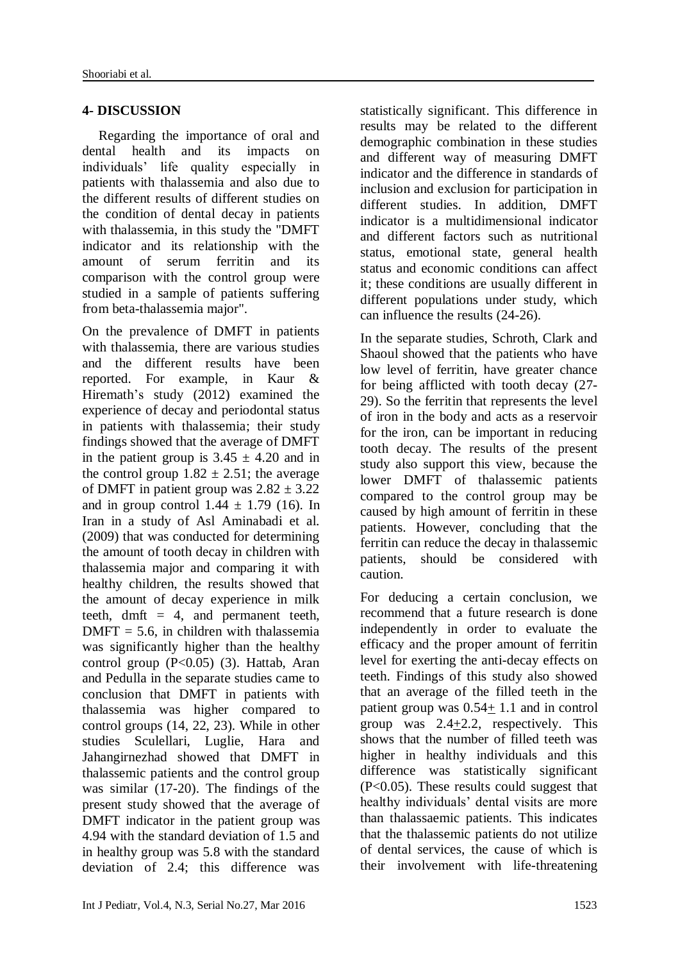# **4- DISCUSSION**

Regarding the importance of oral and dental health and its impacts on individuals' life quality especially in patients with thalassemia and also due to the different results of different studies on the condition of dental decay in patients with thalassemia, in this study the "DMFT indicator and its relationship with the amount of serum ferritin and its comparison with the control group were studied in a sample of patients suffering from beta-thalassemia major".

On the prevalence of DMFT in patients with thalassemia, there are various studies and the different results have been reported. For example, in Kaur & Hiremath's study (2012) examined the experience of decay and periodontal status in patients with thalassemia; their study findings showed that the average of DMFT in the patient group is  $3.45 \pm 4.20$  and in the control group  $1.82 \pm 2.51$ ; the average of DMFT in patient group was  $2.82 \pm 3.22$ and in group control  $1.44 \pm 1.79$  (16). In Iran in a study of Asl Aminabadi et al. (2009) that was conducted for determining the amount of tooth decay in children with thalassemia major and comparing it with healthy children, the results showed that the amount of decay experience in milk teeth, dmft  $= 4$ , and permanent teeth,  $DMFT = 5.6$ , in children with thalassemia was significantly higher than the healthy control group  $(P<0.05)$  (3). Hattab, Aran and Pedulla in the separate studies came to conclusion that DMFT in patients with thalassemia was higher compared to control groups (14, 22, 23). While in other studies Sculellari, Luglie, Hara and Jahangirnezhad showed that DMFT in thalassemic patients and the control group was similar (17-20). The findings of the present study showed that the average of DMFT indicator in the patient group was 4.94 with the standard deviation of 1.5 and in healthy group was 5.8 with the standard deviation of 2.4; this difference was

statistically significant. This difference in results may be related to the different demographic combination in these studies and different way of measuring DMFT indicator and the difference in standards of inclusion and exclusion for participation in different studies. In addition, DMFT indicator is a multidimensional indicator and different factors such as nutritional status, emotional state, general health status and economic conditions can affect it; these conditions are usually different in different populations under study, which can influence the results (24-26).

In the separate studies, Schroth, Clark and Shaoul showed that the patients who have low level of ferritin, have greater chance for being afflicted with tooth decay (27- 29). So the ferritin that represents the level of iron in the body and acts as a reservoir for the iron, can be important in reducing tooth decay. The results of the present study also support this view, because the lower DMFT of thalassemic patients compared to the control group may be caused by high amount of ferritin in these patients. However, concluding that the ferritin can reduce the decay in thalassemic patients, should be considered with caution.

For deducing a certain conclusion, we recommend that a future research is done independently in order to evaluate the efficacy and the proper amount of ferritin level for exerting the anti-decay effects on teeth. Findings of this study also showed that an average of the filled teeth in the patient group was  $0.54+1.1$  and in control group was  $2.4+2.2$ , respectively. This shows that the number of filled teeth was higher in healthy individuals and this difference was statistically significant (P<0.05). These results could suggest that healthy individuals' dental visits are more than thalassaemic patients. This indicates that the thalassemic patients do not utilize of dental services, the cause of which is their involvement with life-threatening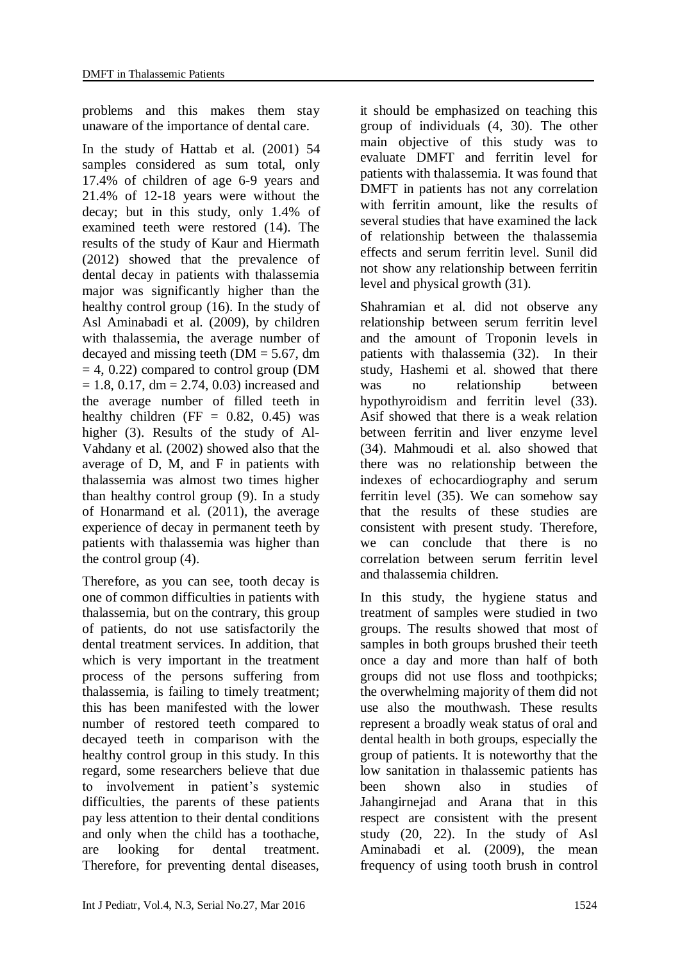problems and this makes them stay unaware of the importance of dental care.

In the study of Hattab et al. (2001) 54 samples considered as sum total, only 17.4% of children of age 6-9 years and 21.4% of 12-18 years were without the decay; but in this study, only 1.4% of examined teeth were restored (14). The results of the study of Kaur and Hiermath (2012) showed that the prevalence of dental decay in patients with thalassemia major was significantly higher than the healthy control group (16). In the study of Asl Aminabadi et al. (2009), by children with thalassemia, the average number of decayed and missing teeth ( $DM = 5.67$ , dm  $= 4, 0.22$ ) compared to control group (DM  $= 1.8, 0.17, dm = 2.74, 0.03$  increased and the average number of filled teeth in healthy children (FF =  $0.82$ ,  $0.45$ ) was higher (3). Results of the study of Al-Vahdany et al. (2002) showed also that the average of D, M, and F in patients with thalassemia was almost two times higher than healthy control group (9). In a study of Honarmand et al. (2011), the average experience of decay in permanent teeth by patients with thalassemia was higher than the control group (4).

Therefore, as you can see, tooth decay is one of common difficulties in patients with thalassemia, but on the contrary, this group of patients, do not use satisfactorily the dental treatment services. In addition, that which is very important in the treatment process of the persons suffering from thalassemia, is failing to timely treatment; this has been manifested with the lower number of restored teeth compared to decayed teeth in comparison with the healthy control group in this study. In this regard, some researchers believe that due to involvement in patient's systemic difficulties, the parents of these patients pay less attention to their dental conditions and only when the child has a toothache, are looking for dental treatment. Therefore, for preventing dental diseases,

it should be emphasized on teaching this group of individuals (4, 30). The other main objective of this study was to evaluate DMFT and ferritin level for patients with thalassemia. It was found that DMFT in patients has not any correlation with ferritin amount, like the results of several studies that have examined the lack of relationship between the thalassemia effects and serum ferritin level. Sunil did not show any relationship between ferritin level and physical growth (31).

Shahramian et al. did not observe any relationship between serum ferritin level and the amount of Troponin levels in patients with thalassemia (32). In their study, Hashemi et al. showed that there was no relationship between hypothyroidism and ferritin level (33). Asif showed that there is a weak relation between ferritin and liver enzyme level (34). Mahmoudi et al. also showed that there was no relationship between the indexes of echocardiography and serum ferritin level (35). We can somehow say that the results of these studies are consistent with present study. Therefore, we can conclude that there is no correlation between serum ferritin level and thalassemia children.

In this study, the hygiene status and treatment of samples were studied in two groups. The results showed that most of samples in both groups brushed their teeth once a day and more than half of both groups did not use floss and toothpicks; the overwhelming majority of them did not use also the mouthwash. These results represent a broadly weak status of oral and dental health in both groups, especially the group of patients. It is noteworthy that the low sanitation in thalassemic patients has been shown also in studies of Jahangirnejad and Arana that in this respect are consistent with the present study (20, 22). In the study of Asl Aminabadi et al. (2009), the mean frequency of using tooth brush in control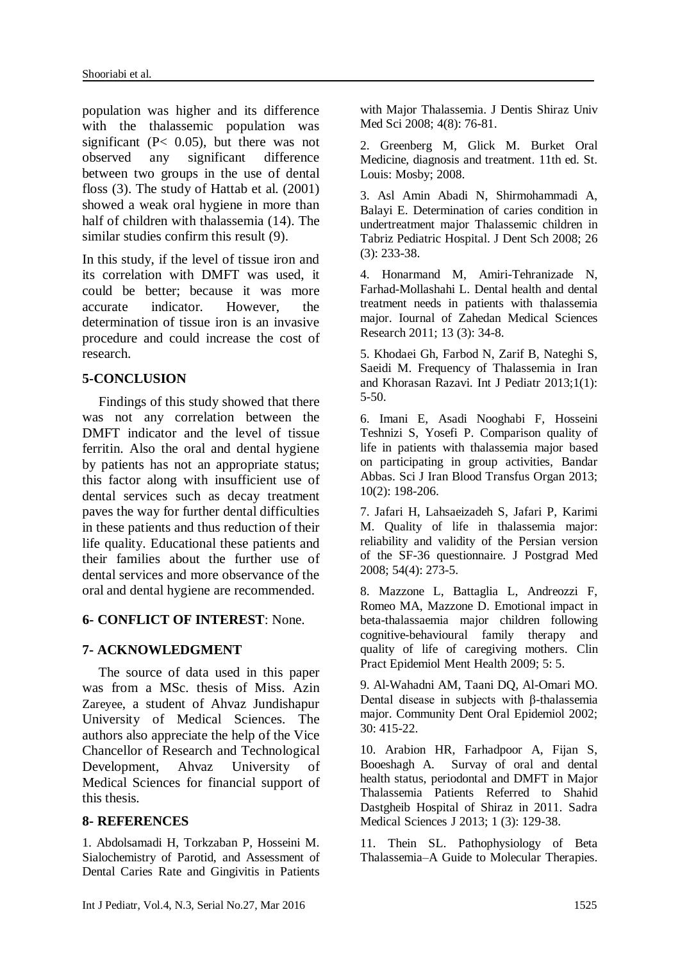population was higher and its difference with the thalassemic population was significant (P< 0.05), but there was not observed any significant difference between two groups in the use of dental floss (3). The study of Hattab et al. (2001) showed a weak oral hygiene in more than half of children with thalassemia (14). The similar studies confirm this result (9).

In this study, if the level of tissue iron and its correlation with DMFT was used, it could be better; because it was more accurate indicator. However, the determination of tissue iron is an invasive procedure and could increase the cost of research.

#### **5-CONCLUSION**

Findings of this study showed that there was not any correlation between the DMFT indicator and the level of tissue ferritin. Also the oral and dental hygiene by patients has not an appropriate status; this factor along with insufficient use of dental services such as decay treatment paves the way for further dental difficulties in these patients and thus reduction of their life quality. Educational these patients and their families about the further use of dental services and more observance of the oral and dental hygiene are recommended.

#### **6- CONFLICT OF INTEREST**: None.

#### **7- ACKNOWLEDGMENT**

The source of data used in this paper was from a MSc. thesis of Miss. Azin Zareyee, a student of Ahvaz Jundishapur University of Medical Sciences. The authors also appreciate the help of the Vice Chancellor of Research and Technological Development, Ahvaz University of Medical Sciences for financial support of this thesis.

#### **8- REFERENCES**

1. Abdolsamadi H, Torkzaban P, Hosseini M. Sialochemistry of Parotid, and Assessment of Dental Caries Rate and Gingivitis in Patients with Major Thalassemia. J Dentis Shiraz Univ Med Sci 2008; 4(8): 76-81.

2. Greenberg M, Glick M. Burket Oral Medicine, diagnosis and treatment. 11th ed. St. Louis: Mosby; 2008.

3. Asl Amin Abadi N, Shirmohammadi A, Balayi E. Determination of caries condition in undertreatment major Thalassemic children in Tabriz Pediatric Hospital. J Dent Sch 2008; 26 (3): 233-38.

4. Honarmand M, Amiri-Tehranizade N, Farhad-Mollashahi L. Dental health and dental treatment needs in patients with thalassemia major. Iournal of Zahedan Medical Sciences Research 2011; 13 (3): 34-8.

5. Khodaei Gh, Farbod N, Zarif B, Nateghi S, Saeidi M. Frequency of Thalassemia in Iran and Khorasan Razavi. Int J Pediatr 2013;1(1): 5-50.

6. Imani E, Asadi Nooghabi F, Hosseini Teshnizi S, Yosefi P. Comparison quality of life in patients with thalassemia major based on participating in group activities, Bandar Abbas. Sci J Iran Blood Transfus Organ 2013; 10(2): 198-206.

7. Jafari H, Lahsaeizadeh S, Jafari P, Karimi M. Quality of life in thalassemia major: reliability and validity of the Persian version of the SF-36 questionnaire. J Postgrad Med 2008; 54(4): 273-5.

8. Mazzone L, Battaglia L, Andreozzi F, Romeo MA, Mazzone D. Emotional impact in beta-thalassaemia major children following cognitive-behavioural family therapy and quality of life of caregiving mothers. Clin Pract Epidemiol Ment Health 2009; 5: 5.

9. Al-Wahadni AM, Taani DQ, Al-Omari MO. Dental disease in subjects with β-thalassemia major. Community Dent Oral Epidemiol 2002; 30: 415-22.

10. Arabion HR, Farhadpoor A, Fijan S, Booeshagh A. Survay of oral and dental health status, periodontal and DMFT in Major Thalassemia Patients Referred to Shahid Dastgheib Hospital of Shiraz in 2011. Sadra Medical Sciences J 2013; 1 (3): 129-38.

11. Thein SL. Pathophysiology of Beta Thalassemia–A Guide to Molecular Therapies.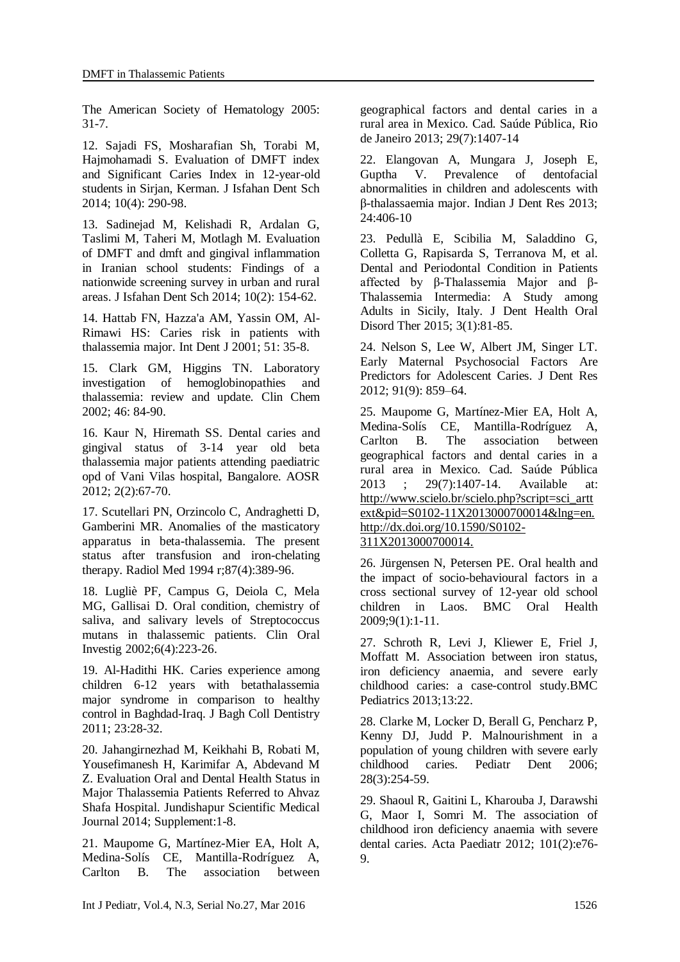The American Society of Hematology 2005: 31-7.

12. Sajadi FS, Mosharafian Sh, Torabi M, Hajmohamadi S. Evaluation of DMFT index and Significant Caries Index in 12-year-old students in Sirjan, Kerman. J Isfahan Dent Sch 2014; 10(4): 290-98.

13. Sadinejad M, Kelishadi R, Ardalan G, Taslimi M, Taheri M, Motlagh M. Evaluation of DMFT and dmft and gingival inflammation in Iranian school students: Findings of a nationwide screening survey in urban and rural areas. J Isfahan Dent Sch 2014; 10(2): 154-62.

14. Hattab FN, Hazza'a AM, Yassin OM, Al-Rimawi HS: Caries risk in patients with thalassemia major. Int Dent J 2001; 51: 35-8.

15. Clark GM, Higgins TN. Laboratory investigation of hemoglobinopathies and thalassemia: review and update. Clin Chem 2002; 46: 84-90.

16. Kaur N, Hiremath SS. Dental caries and gingival status of 3-14 year old beta thalassemia major patients attending paediatric opd of Vani Vilas hospital, Bangalore. AOSR 2012; 2(2):67-70.

17. Scutellari PN, Orzincolo C, Andraghetti D, Gamberini MR. Anomalies of the masticatory apparatus in beta-thalassemia. The present status after transfusion and iron-chelating therapy. Radiol Med 1994 r;87(4):389-96.

18. Lugliè PF, Campus G, Deiola C, Mela MG, Gallisai D. Oral condition, chemistry of saliva, and salivary levels of Streptococcus mutans in thalassemic patients. Clin Oral Investig 2002;6(4):223-26.

19. Al-Hadithi HK. Caries experience among children 6-12 years with betathalassemia major syndrome in comparison to healthy control in Baghdad-Iraq. J Bagh Coll Dentistry 2011; 23:28-32.

20. Jahangirnezhad M, Keikhahi B, Robati M, Yousefimanesh H, Karimifar A, Abdevand M Z. Evaluation Oral and Dental Health Status in Major Thalassemia Patients Referred to Ahvaz Shafa Hospital. Jundishapur Scientific Medical Journal 2014; Supplement:1-8.

21. Maupome G, Martínez-Mier EA, Holt A, Medina-Solís CE, Mantilla-Rodríguez A, Carlton B. The association between geographical factors and dental caries in a rural area in Mexico. Cad. Saúde Pública, Rio de Janeiro 2013; 29(7):1407-14

22. Elangovan A, Mungara J, Joseph E, Guptha V. Prevalence of dentofacial abnormalities in children and adolescents with β-thalassaemia major. Indian J Dent Res 2013; 24:406-10

23. Pedullà E, Scibilia M, Saladdino G, Colletta G, Rapisarda S, Terranova M, et al. Dental and Periodontal Condition in Patients affected by β-Thalassemia Major and β-Thalassemia Intermedia: A Study among Adults in Sicily, Italy. J Dent Health Oral Disord Ther 2015; 3(1):81-85.

24. Nelson S, Lee W, Albert JM, Singer LT. Early Maternal Psychosocial Factors Are Predictors for Adolescent Caries. J Dent Res 2012; 91(9): 859–64.

25. Maupome G, Martínez-Mier EA, Holt A, Medina-Solís CE, Mantilla-Rodríguez A, Carlton B. The association between geographical factors and dental caries in a rural area in Mexico. Cad. Saúde Pública 2013 ; 29(7):1407-14. Available at: http://www.scielo.br/scielo.php?script=sci\_artt ext&pid=S0102-11X2013000700014&lng=en. http://dx.doi.org/10.1590/S0102- 311X2013000700014.

26. Jürgensen N, Petersen PE. Oral health and the impact of socio-behavioural factors in a cross sectional survey of 12-year old school children in Laos. BMC Oral Health 2009;9(1):1-11.

27. Schroth R, Levi J, Kliewer E, Friel J, Moffatt M. Association between iron status, iron deficiency anaemia, and severe early childhood caries: a case-control study.BMC Pediatrics 2013;13:22.

28. Clarke M, Locker D, Berall G, Pencharz P, Kenny DJ, Judd P. Malnourishment in a population of young children with severe early childhood caries. Pediatr Dent 2006; 28(3):254-59.

29. Shaoul R, Gaitini L, Kharouba J, Darawshi G, Maor I, Somri M. The association of childhood iron deficiency anaemia with severe dental caries. Acta Paediatr 2012; 101(2):e76- 9.